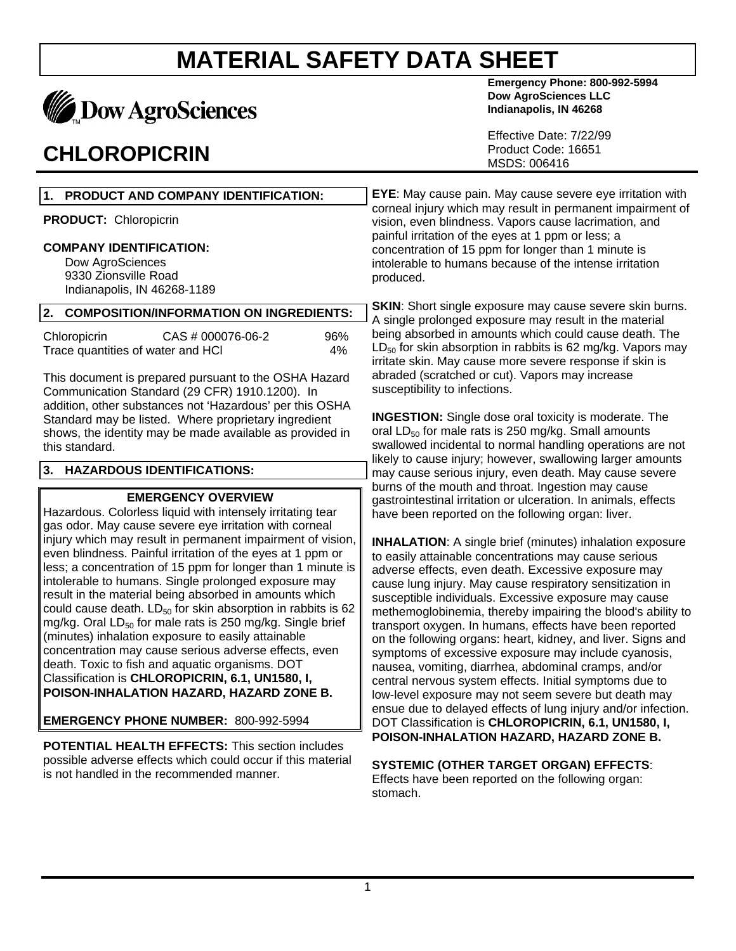

### **CHLOROPICRIN**

**Emergency Phone: 800-992-5994 Dow AgroSciences LLC Indianapolis, IN 46268**

Effective Date: 7/22/99 Product Code: 16651 MSDS: 006416

**EYE**: May cause pain. May cause severe eye irritation with corneal injury which may result in permanent impairment of vision, even blindness. Vapors cause lacrimation, and painful irritation of the eyes at 1 ppm or less; a concentration of 15 ppm for longer than 1 minute is intolerable to humans because of the intense irritation produced.

**SKIN:** Short single exposure may cause severe skin burns. A single prolonged exposure may result in the material being absorbed in amounts which could cause death. The  $LD_{50}$  for skin absorption in rabbits is 62 mg/kg. Vapors may irritate skin. May cause more severe response if skin is abraded (scratched or cut). Vapors may increase susceptibility to infections.

**INGESTION:** Single dose oral toxicity is moderate. The oral  $LD_{50}$  for male rats is 250 mg/kg. Small amounts swallowed incidental to normal handling operations are not likely to cause injury; however, swallowing larger amounts may cause serious injury, even death. May cause severe burns of the mouth and throat. Ingestion may cause gastrointestinal irritation or ulceration. In animals, effects have been reported on the following organ: liver.

**INHALATION:** A single brief (minutes) inhalation exposure to easily attainable concentrations may cause serious adverse effects, even death. Excessive exposure may cause lung injury. May cause respiratory sensitization in susceptible individuals. Excessive exposure may cause methemoglobinemia, thereby impairing the blood's ability to transport oxygen. In humans, effects have been reported on the following organs: heart, kidney, and liver. Signs and symptoms of excessive exposure may include cyanosis, nausea, vomiting, diarrhea, abdominal cramps, and/or central nervous system effects. Initial symptoms due to low-level exposure may not seem severe but death may ensue due to delayed effects of lung injury and/or infection. DOT Classification is **CHLOROPICRIN, 6.1, UN1580, I, POISON-INHALATION HAZARD, HAZARD ZONE B.**

**SYSTEMIC (OTHER TARGET ORGAN) EFFECTS**: Effects have been reported on the following organ: stomach.

### **1. PRODUCT AND COMPANY IDENTIFICATION: PRODUCT:** Chloropicrin

#### **COMPANY IDENTIFICATION:**

Dow AgroSciences 9330 Zionsville Road Indianapolis, IN 46268-1189

#### **2. COMPOSITION/INFORMATION ON INGREDIENTS:**

| Chloropicrin                      | CAS # 000076-06-2 | 96% |
|-----------------------------------|-------------------|-----|
| Trace quantities of water and HCI |                   | 4%  |

This document is prepared pursuant to the OSHA Hazard Communication Standard (29 CFR) 1910.1200). In addition, other substances not 'Hazardous' per this OSHA Standard may be listed. Where proprietary ingredient shows, the identity may be made available as provided in this standard.

#### **3. HAZARDOUS IDENTIFICATIONS:**

#### **EMERGENCY OVERVIEW**

Hazardous. Colorless liquid with intensely irritating tear gas odor. May cause severe eye irritation with corneal injury which may result in permanent impairment of vision, even blindness. Painful irritation of the eyes at 1 ppm or less; a concentration of 15 ppm for longer than 1 minute is intolerable to humans. Single prolonged exposure may result in the material being absorbed in amounts which could cause death.  $LD_{50}$  for skin absorption in rabbits is 62 mg/kg. Oral  $LD_{50}$  for male rats is 250 mg/kg. Single brief (minutes) inhalation exposure to easily attainable concentration may cause serious adverse effects, even death. Toxic to fish and aquatic organisms. DOT Classification is **CHLOROPICRIN, 6.1, UN1580, I, POISON-INHALATION HAZARD, HAZARD ZONE B.**

**EMERGENCY PHONE NUMBER:** 800-992-5994

**POTENTIAL HEALTH EFFECTS:** This section includes possible adverse effects which could occur if this material is not handled in the recommended manner.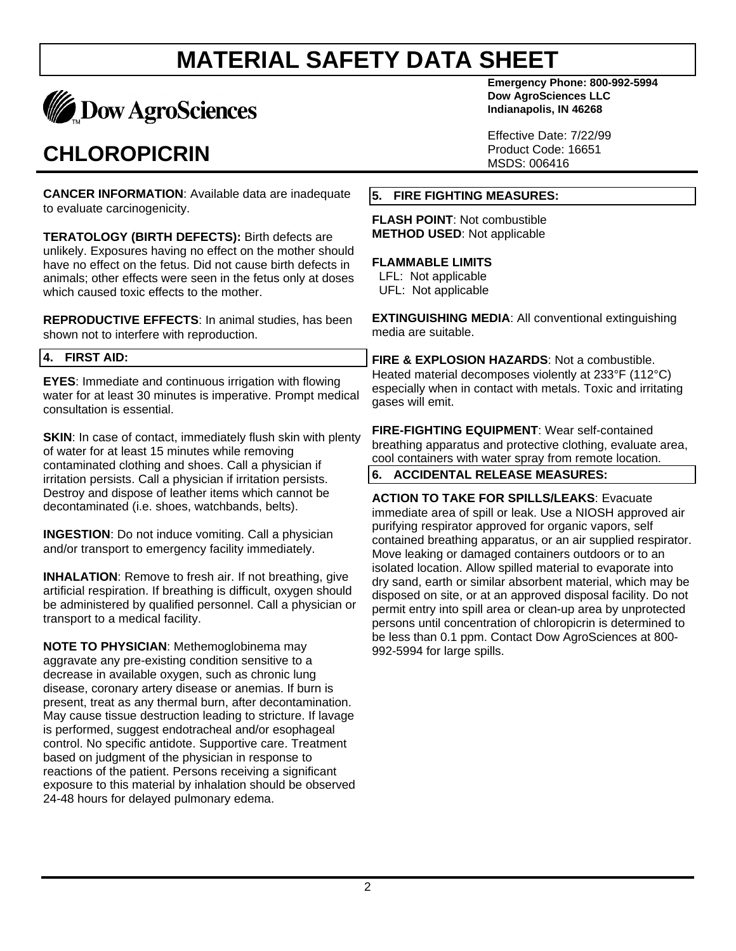

## **CHLOROPICRIN**

**CANCER INFORMATION**: Available data are inadequate to evaluate carcinogenicity.

**TERATOLOGY (BIRTH DEFECTS):** Birth defects are unlikely. Exposures having no effect on the mother should have no effect on the fetus. Did not cause birth defects in animals; other effects were seen in the fetus only at doses which caused toxic effects to the mother.

**REPRODUCTIVE EFFECTS**: In animal studies, has been shown not to interfere with reproduction.

#### **4. FIRST AID:**

**EYES**: Immediate and continuous irrigation with flowing water for at least 30 minutes is imperative. Prompt medical consultation is essential.

**SKIN:** In case of contact, immediately flush skin with plenty of water for at least 15 minutes while removing contaminated clothing and shoes. Call a physician if irritation persists. Call a physician if irritation persists. Destroy and dispose of leather items which cannot be decontaminated (i.e. shoes, watchbands, belts).

**INGESTION**: Do not induce vomiting. Call a physician and/or transport to emergency facility immediately.

**INHALATION:** Remove to fresh air. If not breathing, give artificial respiration. If breathing is difficult, oxygen should be administered by qualified personnel. Call a physician or transport to a medical facility.

**NOTE TO PHYSICIAN**: Methemoglobinema may aggravate any pre-existing condition sensitive to a decrease in available oxygen, such as chronic lung disease, coronary artery disease or anemias. If burn is present, treat as any thermal burn, after decontamination. May cause tissue destruction leading to stricture. If lavage is performed, suggest endotracheal and/or esophageal control. No specific antidote. Supportive care. Treatment based on judgment of the physician in response to reactions of the patient. Persons receiving a significant exposure to this material by inhalation should be observed 24-48 hours for delayed pulmonary edema.

**Emergency Phone: 800-992-5994 Dow AgroSciences LLC Indianapolis, IN 46268**

Effective Date: 7/22/99 Product Code: 16651 MSDS: 006416

#### **5. FIRE FIGHTING MEASURES:**

**FLASH POINT**: Not combustible **METHOD USED**: Not applicable

#### **FLAMMABLE LIMITS**

 LFL: Not applicable UFL: Not applicable

**EXTINGUISHING MEDIA**: All conventional extinguishing media are suitable.

**FIRE & EXPLOSION HAZARDS**: Not a combustible. Heated material decomposes violently at 233°F (112°C) especially when in contact with metals. Toxic and irritating gases will emit.

**FIRE-FIGHTING EQUIPMENT**: Wear self-contained breathing apparatus and protective clothing, evaluate area, cool containers with water spray from remote location.

#### **6. ACCIDENTAL RELEASE MEASURES:**

**ACTION TO TAKE FOR SPILLS/LEAKS**: Evacuate immediate area of spill or leak. Use a NIOSH approved air purifying respirator approved for organic vapors, self contained breathing apparatus, or an air supplied respirator. Move leaking or damaged containers outdoors or to an isolated location. Allow spilled material to evaporate into dry sand, earth or similar absorbent material, which may be disposed on site, or at an approved disposal facility. Do not permit entry into spill area or clean-up area by unprotected persons until concentration of chloropicrin is determined to be less than 0.1 ppm. Contact Dow AgroSciences at 800- 992-5994 for large spills.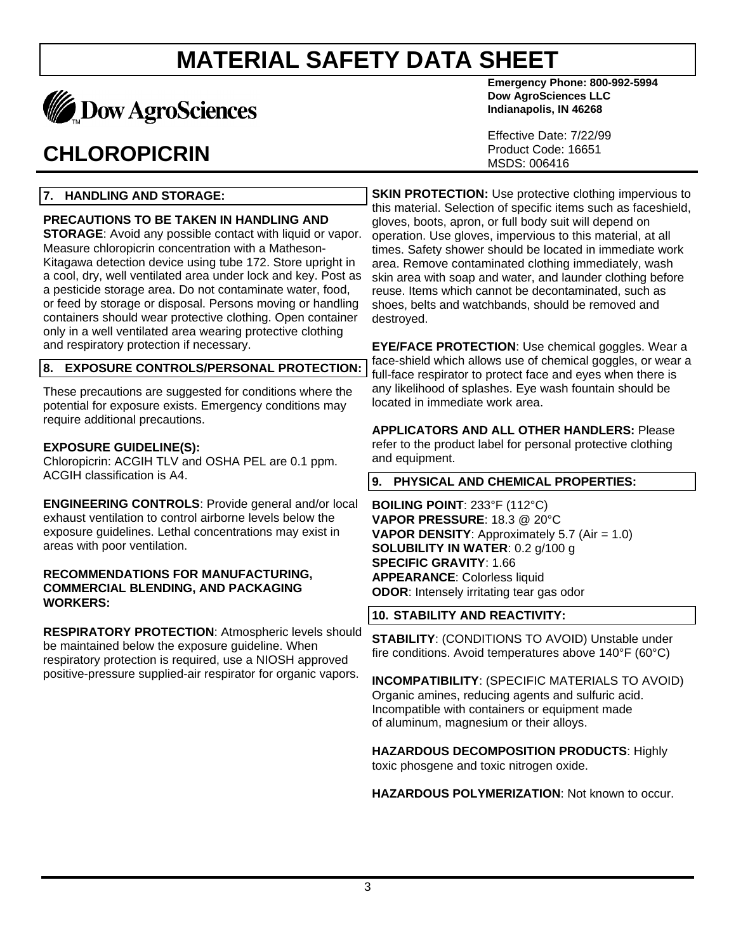

## **CHLOROPICRIN**

#### **7. HANDLING AND STORAGE:**

#### **PRECAUTIONS TO BE TAKEN IN HANDLING AND**

**STORAGE**: Avoid any possible contact with liquid or vapor. Measure chloropicrin concentration with a Matheson-Kitagawa detection device using tube 172. Store upright in a cool, dry, well ventilated area under lock and key. Post as a pesticide storage area. Do not contaminate water, food, or feed by storage or disposal. Persons moving or handling containers should wear protective clothing. Open container only in a well ventilated area wearing protective clothing and respiratory protection if necessary.

#### **8. EXPOSURE CONTROLS/PERSONAL PROTECTION:**

These precautions are suggested for conditions where the potential for exposure exists. Emergency conditions may require additional precautions.

#### **EXPOSURE GUIDELINE(S):**

Chloropicrin: ACGIH TLV and OSHA PEL are 0.1 ppm. ACGIH classification is A4.

**ENGINEERING CONTROLS**: Provide general and/or local exhaust ventilation to control airborne levels below the exposure guidelines. Lethal concentrations may exist in areas with poor ventilation.

#### **RECOMMENDATIONS FOR MANUFACTURING, COMMERCIAL BLENDING, AND PACKAGING WORKERS:**

**RESPIRATORY PROTECTION**: Atmospheric levels should be maintained below the exposure guideline. When respiratory protection is required, use a NIOSH approved positive-pressure supplied-air respirator for organic vapors.

**Emergency Phone: 800-992-5994 Dow AgroSciences LLC Indianapolis, IN 46268**

Effective Date: 7/22/99 Product Code: 16651 MSDS: 006416

**SKIN PROTECTION:** Use protective clothing impervious to this material. Selection of specific items such as faceshield, gloves, boots, apron, or full body suit will depend on operation. Use gloves, impervious to this material, at all times. Safety shower should be located in immediate work area. Remove contaminated clothing immediately, wash skin area with soap and water, and launder clothing before reuse. Items which cannot be decontaminated, such as shoes, belts and watchbands, should be removed and destroyed.

**EYE/FACE PROTECTION**: Use chemical goggles. Wear a face-shield which allows use of chemical goggles, or wear a full-face respirator to protect face and eyes when there is any likelihood of splashes. Eye wash fountain should be located in immediate work area.

**APPLICATORS AND ALL OTHER HANDLERS:** Please refer to the product label for personal protective clothing and equipment.

#### **9. PHYSICAL AND CHEMICAL PROPERTIES:**

**BOILING POINT**: 233°F (112°C) **VAPOR PRESSURE**: 18.3 @ 20°C **VAPOR DENSITY:** Approximately 5.7 (Air = 1.0) **SOLUBILITY IN WATER**: 0.2 g/100 g **SPECIFIC GRAVITY**: 1.66 **APPEARANCE**: Colorless liquid **ODOR**: Intensely irritating tear gas odor

#### **10. STABILITY AND REACTIVITY:**

**STABILITY**: (CONDITIONS TO AVOID) Unstable under fire conditions. Avoid temperatures above 140°F (60°C)

**INCOMPATIBILITY**: (SPECIFIC MATERIALS TO AVOID) Organic amines, reducing agents and sulfuric acid. Incompatible with containers or equipment made of aluminum, magnesium or their alloys.

**HAZARDOUS DECOMPOSITION PRODUCTS**: Highly toxic phosgene and toxic nitrogen oxide.

**HAZARDOUS POLYMERIZATION**: Not known to occur.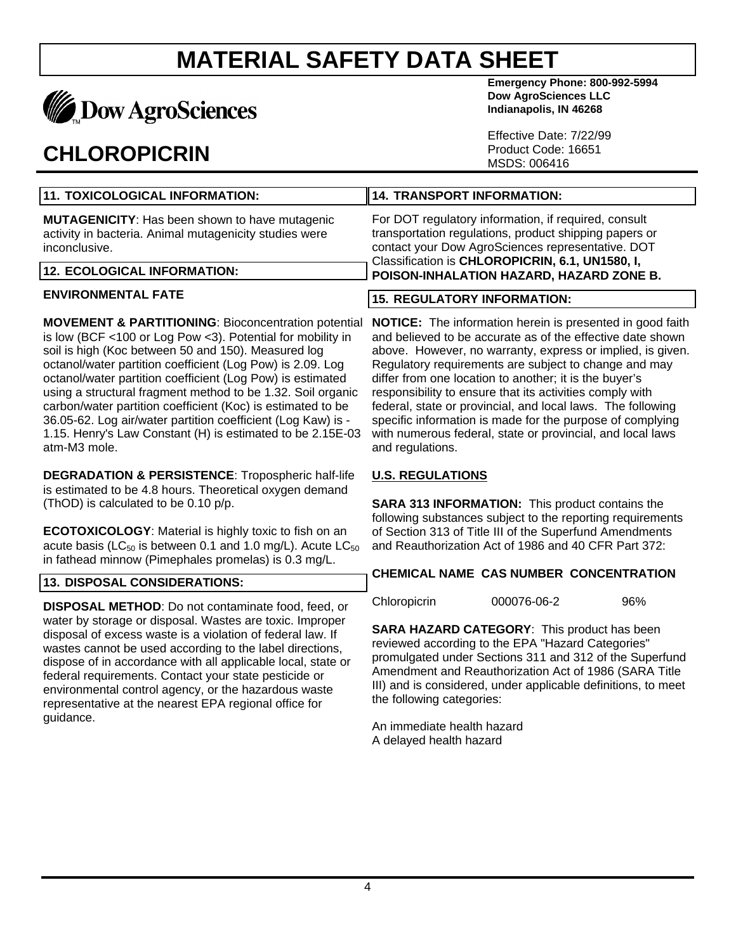

### **CHLOROPICRIN**

**Emergency Phone: 800-992-5994 Dow AgroSciences LLC Indianapolis, IN 46268**

Effective Date: 7/22/99 Product Code: 16651 MSDS: 006416

| 11. TOXICOLOGICAL INFORMATION:                                                                                                   | 14. TRANSPORT INFORMATION:                                                                                                                                          |  |
|----------------------------------------------------------------------------------------------------------------------------------|---------------------------------------------------------------------------------------------------------------------------------------------------------------------|--|
| <b>MUTAGENICITY:</b> Has been shown to have mutagenic<br>activity in bacteria. Animal mutagenicity studies were<br>inconclusive. | For DOT regulatory information, if required, consult<br>transportation regulations, product shipping papers or<br>contact your Dow AgroSciences representative. DOT |  |
| 12. ECOLOGICAL INFORMATION:                                                                                                      | Classification is CHLOROPICRIN, 6.1, UN1580, I,<br>POISON-INHALATION HAZARD, HAZARD ZONE B.                                                                         |  |

#### **ENVIRONMENTAL FATE**

**MOVEMENT & PARTITIONING**: Bioconcentration potential is low (BCF <100 or Log Pow <3). Potential for mobility in soil is high (Koc between 50 and 150). Measured log octanol/water partition coefficient (Log Pow) is 2.09. Log octanol/water partition coefficient (Log Pow) is estimated using a structural fragment method to be 1.32. Soil organic carbon/water partition coefficient (Koc) is estimated to be 36.05-62. Log air/water partition coefficient (Log Kaw) is - 1.15. Henry's Law Constant (H) is estimated to be 2.15E-03 atm-M3 mole.

**DEGRADATION & PERSISTENCE**: Tropospheric half-life is estimated to be 4.8 hours. Theoretical oxygen demand (ThOD) is calculated to be 0.10 p/p.

**ECOTOXICOLOGY**: Material is highly toxic to fish on an acute basis ( $LC_{50}$  is between 0.1 and 1.0 mg/L). Acute  $LC_{50}$ in fathead minnow (Pimephales promelas) is 0.3 mg/L.

#### **13. DISPOSAL CONSIDERATIONS:**

**DISPOSAL METHOD**: Do not contaminate food, feed, or water by storage or disposal. Wastes are toxic. Improper disposal of excess waste is a violation of federal law. If wastes cannot be used according to the label directions, dispose of in accordance with all applicable local, state or federal requirements. Contact your state pesticide or environmental control agency, or the hazardous waste representative at the nearest EPA regional office for guidance.

### **15. REGULATORY INFORMATION:**

**NOTICE:** The information herein is presented in good faith and believed to be accurate as of the effective date shown above. However, no warranty, express or implied, is given. Regulatory requirements are subject to change and may differ from one location to another; it is the buyer's responsibility to ensure that its activities comply with federal, state or provincial, and local laws. The following specific information is made for the purpose of complying with numerous federal, state or provincial, and local laws and regulations.

#### **U.S. REGULATIONS**

**SARA 313 INFORMATION:** This product contains the following substances subject to the reporting requirements of Section 313 of Title III of the Superfund Amendments and Reauthorization Act of 1986 and 40 CFR Part 372:

#### **CHEMICAL NAME CAS NUMBER CONCENTRATION**

Chloropicrin 000076-06-2 96%

**SARA HAZARD CATEGORY**: This product has been reviewed according to the EPA "Hazard Categories" promulgated under Sections 311 and 312 of the Superfund Amendment and Reauthorization Act of 1986 (SARA Title III) and is considered, under applicable definitions, to meet the following categories:

An immediate health hazard A delayed health hazard